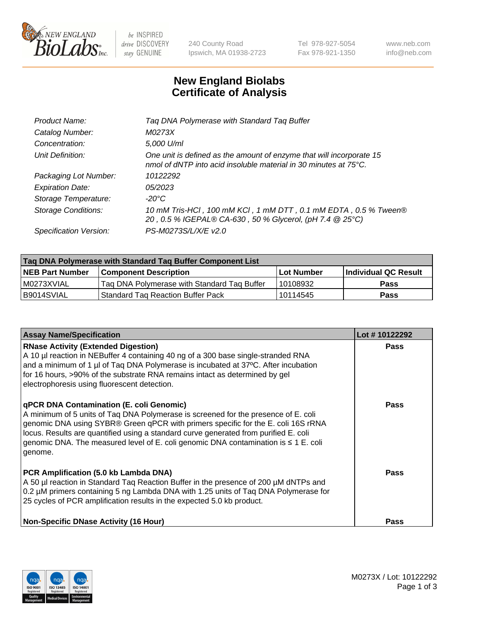

 $be$  INSPIRED drive DISCOVERY stay GENUINE

240 County Road Ipswich, MA 01938-2723 Tel 978-927-5054 Fax 978-921-1350 www.neb.com info@neb.com

## **New England Biolabs Certificate of Analysis**

| Tag DNA Polymerase with Standard Tag Buffer                                                                                              |
|------------------------------------------------------------------------------------------------------------------------------------------|
| M0273X                                                                                                                                   |
| 5,000 U/ml                                                                                                                               |
| One unit is defined as the amount of enzyme that will incorporate 15<br>nmol of dNTP into acid insoluble material in 30 minutes at 75°C. |
| 10122292                                                                                                                                 |
| 05/2023                                                                                                                                  |
| $-20^{\circ}$ C                                                                                                                          |
| 10 mM Tris-HCI, 100 mM KCI, 1 mM DTT, 0.1 mM EDTA, 0.5 % Tween®<br>20, 0.5 % IGEPAL® CA-630, 50 % Glycerol, (pH 7.4 @ 25°C)              |
| PS-M0273S/L/X/E v2.0                                                                                                                     |
|                                                                                                                                          |

| Tag DNA Polymerase with Standard Tag Buffer Component List |                                             |                   |                      |  |  |
|------------------------------------------------------------|---------------------------------------------|-------------------|----------------------|--|--|
| <b>NEB Part Number</b>                                     | Component Description_                      | <b>Lot Number</b> | Individual QC Result |  |  |
| M0273XVIAL                                                 | Tag DNA Polymerase with Standard Tag Buffer | l 10108932        | Pass                 |  |  |
| B9014SVIAL                                                 | <b>Standard Tag Reaction Buffer Pack</b>    | 10114545          | <b>Pass</b>          |  |  |

| <b>Assay Name/Specification</b>                                                                                                                                                                                                                                                                                                                                                                               | Lot #10122292 |
|---------------------------------------------------------------------------------------------------------------------------------------------------------------------------------------------------------------------------------------------------------------------------------------------------------------------------------------------------------------------------------------------------------------|---------------|
| <b>RNase Activity (Extended Digestion)</b><br>A 10 µl reaction in NEBuffer 4 containing 40 ng of a 300 base single-stranded RNA<br>and a minimum of 1 µl of Taq DNA Polymerase is incubated at 37°C. After incubation<br>for 16 hours, >90% of the substrate RNA remains intact as determined by gel<br>electrophoresis using fluorescent detection.                                                          | Pass          |
| qPCR DNA Contamination (E. coli Genomic)<br>A minimum of 5 units of Taq DNA Polymerase is screened for the presence of E. coli<br>genomic DNA using SYBR® Green qPCR with primers specific for the E. coli 16S rRNA<br>locus. Results are quantified using a standard curve generated from purified E. coli<br>genomic DNA. The measured level of E. coli genomic DNA contamination is ≤ 1 E. coli<br>genome. | Pass          |
| PCR Amplification (5.0 kb Lambda DNA)<br>A 50 µl reaction in Standard Taq Reaction Buffer in the presence of 200 µM dNTPs and<br>0.2 µM primers containing 5 ng Lambda DNA with 1.25 units of Tag DNA Polymerase for<br>25 cycles of PCR amplification results in the expected 5.0 kb product.                                                                                                                | Pass          |
| <b>Non-Specific DNase Activity (16 Hour)</b>                                                                                                                                                                                                                                                                                                                                                                  | Pass          |

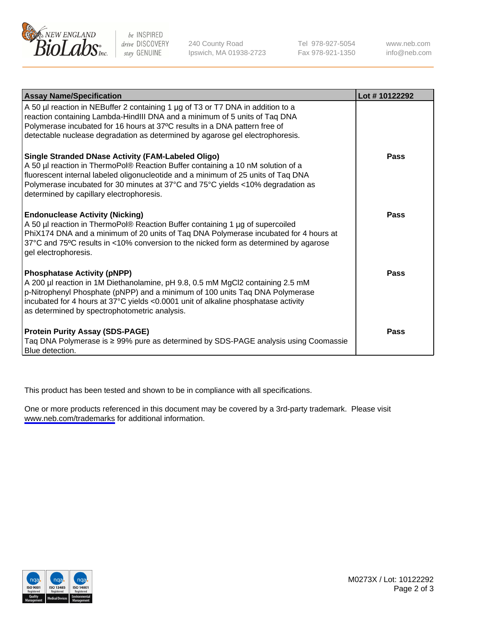

be INSPIRED drive DISCOVERY stay GENUINE

240 County Road Ipswich, MA 01938-2723 Tel 978-927-5054 Fax 978-921-1350

www.neb.com info@neb.com

| <b>Assay Name/Specification</b>                                                                                                                                                                                                                                                                                                                           | Lot #10122292 |
|-----------------------------------------------------------------------------------------------------------------------------------------------------------------------------------------------------------------------------------------------------------------------------------------------------------------------------------------------------------|---------------|
| A 50 µl reaction in NEBuffer 2 containing 1 µg of T3 or T7 DNA in addition to a<br>reaction containing Lambda-HindIII DNA and a minimum of 5 units of Taq DNA<br>Polymerase incubated for 16 hours at 37°C results in a DNA pattern free of<br>detectable nuclease degradation as determined by agarose gel electrophoresis.                              |               |
| Single Stranded DNase Activity (FAM-Labeled Oligo)<br>A 50 µl reaction in ThermoPol® Reaction Buffer containing a 10 nM solution of a<br>fluorescent internal labeled oligonucleotide and a minimum of 25 units of Taq DNA<br>Polymerase incubated for 30 minutes at 37°C and 75°C yields <10% degradation as<br>determined by capillary electrophoresis. | Pass          |
| <b>Endonuclease Activity (Nicking)</b><br>A 50 µl reaction in ThermoPol® Reaction Buffer containing 1 µg of supercoiled<br>PhiX174 DNA and a minimum of 20 units of Taq DNA Polymerase incubated for 4 hours at<br>37°C and 75°C results in <10% conversion to the nicked form as determined by agarose<br>gel electrophoresis.                           | Pass          |
| <b>Phosphatase Activity (pNPP)</b><br>A 200 µl reaction in 1M Diethanolamine, pH 9.8, 0.5 mM MgCl2 containing 2.5 mM<br>p-Nitrophenyl Phosphate (pNPP) and a minimum of 100 units Taq DNA Polymerase<br>incubated for 4 hours at 37°C yields <0.0001 unit of alkaline phosphatase activity<br>as determined by spectrophotometric analysis.               | Pass          |
| <b>Protein Purity Assay (SDS-PAGE)</b><br>Taq DNA Polymerase is ≥ 99% pure as determined by SDS-PAGE analysis using Coomassie<br>Blue detection.                                                                                                                                                                                                          | Pass          |

This product has been tested and shown to be in compliance with all specifications.

One or more products referenced in this document may be covered by a 3rd-party trademark. Please visit <www.neb.com/trademarks>for additional information.